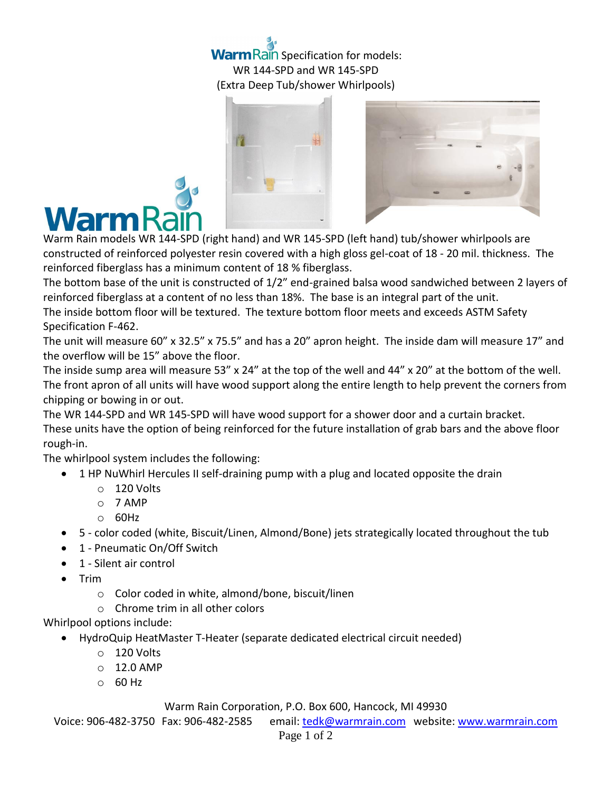## **Warm Rain Specification for models:** WR 144-SPD and WR 145-SPD (Extra Deep Tub/shower Whirlpools)





The bottom base of the unit is constructed of 1/2" end-grained balsa wood sandwiched between 2 layers of reinforced fiberglass at a content of no less than 18%. The base is an integral part of the unit.

The inside bottom floor will be textured. The texture bottom floor meets and exceeds ASTM Safety Specification F-462.

The unit will measure 60" x 32.5" x 75.5" and has a 20" apron height. The inside dam will measure 17" and the overflow will be 15" above the floor.

The inside sump area will measure 53" x 24" at the top of the well and 44" x 20" at the bottom of the well. The front apron of all units will have wood support along the entire length to help prevent the corners from chipping or bowing in or out.

The WR 144-SPD and WR 145-SPD will have wood support for a shower door and a curtain bracket. These units have the option of being reinforced for the future installation of grab bars and the above floor rough-in.

The whirlpool system includes the following:

- 1 HP NuWhirl Hercules II self-draining pump with a plug and located opposite the drain
	- o 120 Volts
	- o 7 AMP
	- $O$  60Hz
- 5 color coded (white, Biscuit/Linen, Almond/Bone) jets strategically located throughout the tub
- 1 Pneumatic On/Off Switch
- 1 Silent air control
- $\bullet$  Trim
	- o Color coded in white, almond/bone, biscuit/linen
	- o Chrome trim in all other colors

## Whirlpool options include:

- HydroQuip HeatMaster T-Heater (separate dedicated electrical circuit needed)
	- $\circ$  120 Volts
	- $O$  12.0 AMP
	- o 60 Hz

## Warm Rain Corporation, P.O. Box 600, Hancock, MI 49930

Voice: 906-482-3750 Fax: 906-482-2585 email[: tedk@warmrain.com](mailto:tedk@warmrain.com) website: [www.warmrain.com](http://www.warmrain.com/)